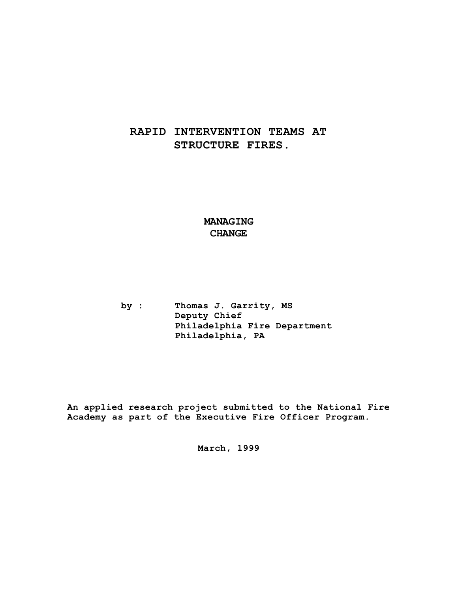# **RAPID INTERVENTION TEAMS AT STRUCTURE FIRES.**

# **MANAGING CHANGE**

**by : Thomas J. Garrity, MS Deputy Chief Philadelphia Fire Department Philadelphia, PA**

**An applied research project submitted to the National Fire Academy as part of the Executive Fire Officer Program.**

**March, 1999**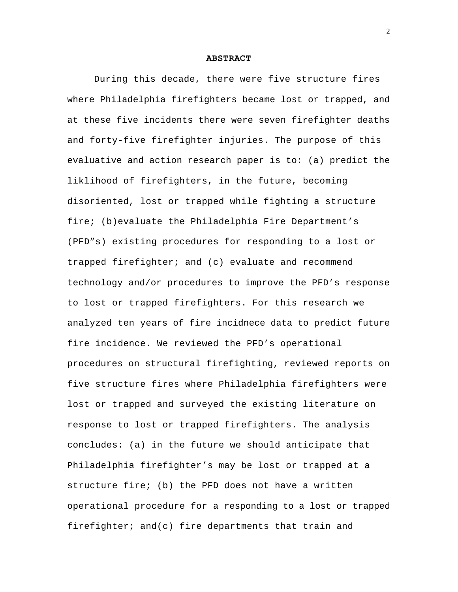### **ABSTRACT**

During this decade, there were five structure fires where Philadelphia firefighters became lost or trapped, and at these five incidents there were seven firefighter deaths and forty-five firefighter injuries. The purpose of this evaluative and action research paper is to: (a) predict the liklihood of firefighters, in the future, becoming disoriented, lost or trapped while fighting a structure fire; (b)evaluate the Philadelphia Fire Department's (PFD"s) existing procedures for responding to a lost or trapped firefighter; and (c) evaluate and recommend technology and/or procedures to improve the PFD's response to lost or trapped firefighters. For this research we analyzed ten years of fire incidnece data to predict future fire incidence. We reviewed the PFD's operational procedures on structural firefighting, reviewed reports on five structure fires where Philadelphia firefighters were lost or trapped and surveyed the existing literature on response to lost or trapped firefighters. The analysis concludes: (a) in the future we should anticipate that Philadelphia firefighter's may be lost or trapped at a structure fire; (b) the PFD does not have a written operational procedure for a responding to a lost or trapped firefighter; and(c) fire departments that train and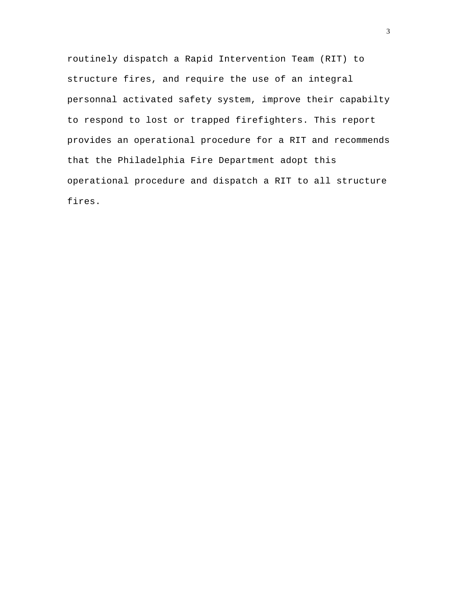routinely dispatch a Rapid Intervention Team (RIT) to structure fires, and require the use of an integral personnal activated safety system, improve their capabilty to respond to lost or trapped firefighters. This report provides an operational procedure for a RIT and recommends that the Philadelphia Fire Department adopt this operational procedure and dispatch a RIT to all structure fires.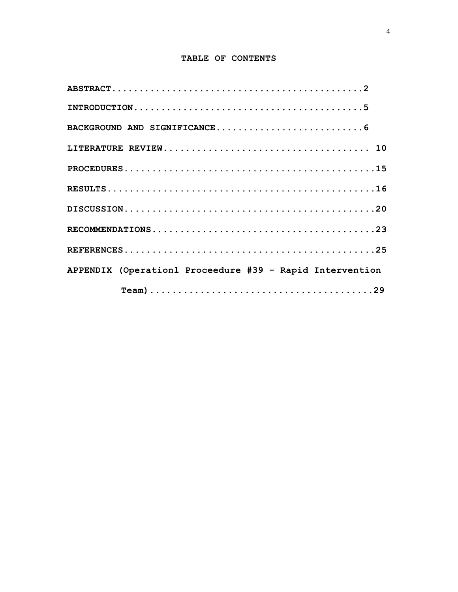# **TABLE OF CONTENTS**

| APPENDIX (Operationl Proceedure #39 - Rapid Intervention |
|----------------------------------------------------------|
|                                                          |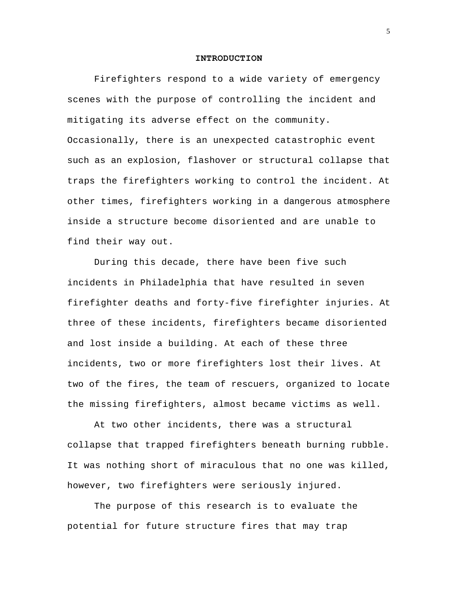## **INTRODUCTION**

Firefighters respond to a wide variety of emergency scenes with the purpose of controlling the incident and mitigating its adverse effect on the community. Occasionally, there is an unexpected catastrophic event such as an explosion, flashover or structural collapse that traps the firefighters working to control the incident. At other times, firefighters working in a dangerous atmosphere inside a structure become disoriented and are unable to find their way out.

During this decade, there have been five such incidents in Philadelphia that have resulted in seven firefighter deaths and forty-five firefighter injuries. At three of these incidents, firefighters became disoriented and lost inside a building. At each of these three incidents, two or more firefighters lost their lives. At two of the fires, the team of rescuers, organized to locate the missing firefighters, almost became victims as well.

At two other incidents, there was a structural collapse that trapped firefighters beneath burning rubble. It was nothing short of miraculous that no one was killed, however, two firefighters were seriously injured.

The purpose of this research is to evaluate the potential for future structure fires that may trap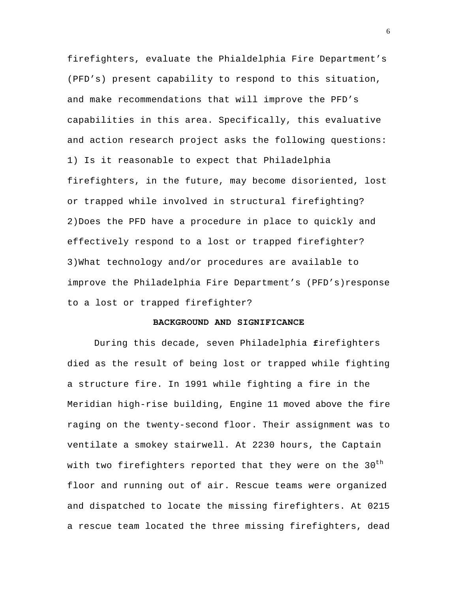firefighters, evaluate the Phialdelphia Fire Department's (PFD's) present capability to respond to this situation, and make recommendations that will improve the PFD's capabilities in this area. Specifically, this evaluative and action research project asks the following questions: 1) Is it reasonable to expect that Philadelphia firefighters, in the future, may become disoriented, lost or trapped while involved in structural firefighting? 2)Does the PFD have a procedure in place to quickly and effectively respond to a lost or trapped firefighter? 3)What technology and/or procedures are available to improve the Philadelphia Fire Department's (PFD's)response to a lost or trapped firefighter?

# **BACKGROUND AND SIGNIFICANCE**

During this decade, seven Philadelphia **f**irefighters died as the result of being lost or trapped while fighting a structure fire. In 1991 while fighting a fire in the Meridian high-rise building, Engine 11 moved above the fire raging on the twenty-second floor. Their assignment was to ventilate a smokey stairwell. At 2230 hours, the Captain with two firefighters reported that they were on the 30<sup>th</sup> floor and running out of air. Rescue teams were organized and dispatched to locate the missing firefighters. At 0215 a rescue team located the three missing firefighters, dead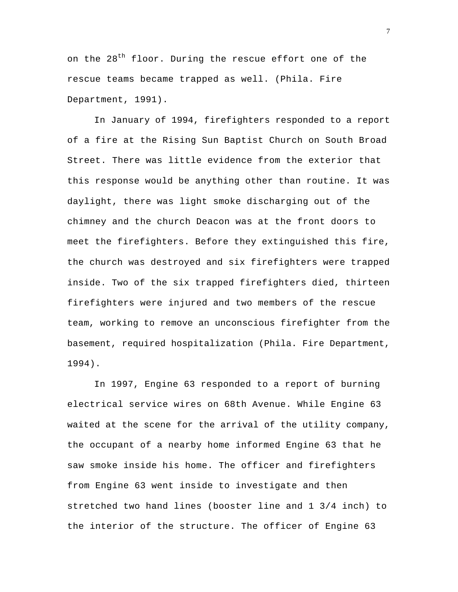on the 28<sup>th</sup> floor. During the rescue effort one of the rescue teams became trapped as well. (Phila. Fire Department, 1991).

In January of 1994, firefighters responded to a report of a fire at the Rising Sun Baptist Church on South Broad Street. There was little evidence from the exterior that this response would be anything other than routine. It was daylight, there was light smoke discharging out of the chimney and the church Deacon was at the front doors to meet the firefighters. Before they extinguished this fire, the church was destroyed and six firefighters were trapped inside. Two of the six trapped firefighters died, thirteen firefighters were injured and two members of the rescue team, working to remove an unconscious firefighter from the basement, required hospitalization (Phila. Fire Department, 1994).

In 1997, Engine 63 responded to a report of burning electrical service wires on 68th Avenue. While Engine 63 waited at the scene for the arrival of the utility company, the occupant of a nearby home informed Engine 63 that he saw smoke inside his home. The officer and firefighters from Engine 63 went inside to investigate and then stretched two hand lines (booster line and 1 3/4 inch) to the interior of the structure. The officer of Engine 63

7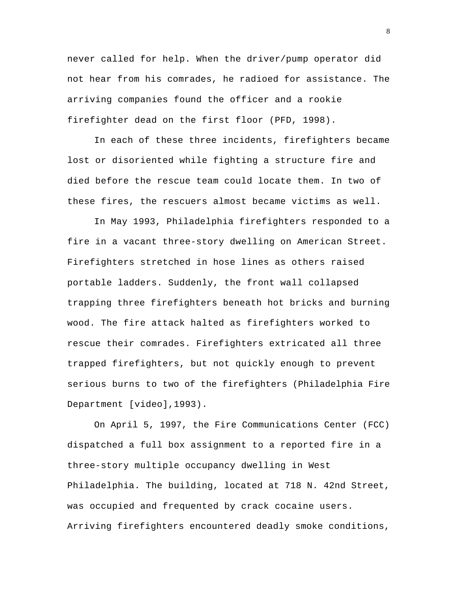never called for help. When the driver/pump operator did not hear from his comrades, he radioed for assistance. The arriving companies found the officer and a rookie firefighter dead on the first floor (PFD, 1998).

In each of these three incidents, firefighters became lost or disoriented while fighting a structure fire and died before the rescue team could locate them. In two of these fires, the rescuers almost became victims as well.

In May 1993, Philadelphia firefighters responded to a fire in a vacant three-story dwelling on American Street. Firefighters stretched in hose lines as others raised portable ladders. Suddenly, the front wall collapsed trapping three firefighters beneath hot bricks and burning wood. The fire attack halted as firefighters worked to rescue their comrades. Firefighters extricated all three trapped firefighters, but not quickly enough to prevent serious burns to two of the firefighters (Philadelphia Fire Department [video],1993).

On April 5, 1997, the Fire Communications Center (FCC) dispatched a full box assignment to a reported fire in a three-story multiple occupancy dwelling in West Philadelphia. The building, located at 718 N. 42nd Street, was occupied and frequented by crack cocaine users. Arriving firefighters encountered deadly smoke conditions,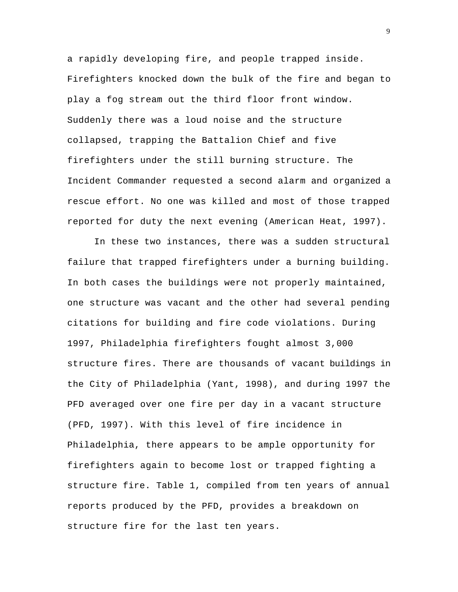a rapidly developing fire, and people trapped inside. Firefighters knocked down the bulk of the fire and began to play a fog stream out the third floor front window. Suddenly there was a loud noise and the structure collapsed, trapping the Battalion Chief and five firefighters under the still burning structure. The Incident Commander requested a second alarm and organized a rescue effort. No one was killed and most of those trapped reported for duty the next evening (American Heat, 1997).

In these two instances, there was a sudden structural failure that trapped firefighters under a burning building. In both cases the buildings were not properly maintained, one structure was vacant and the other had several pending citations for building and fire code violations. During 1997, Philadelphia firefighters fought almost 3,000 structure fires. There are thousands of vacant buildings in the City of Philadelphia (Yant, 1998), and during 1997 the PFD averaged over one fire per day in a vacant structure (PFD, 1997). With this level of fire incidence in Philadelphia, there appears to be ample opportunity for firefighters again to become lost or trapped fighting a structure fire. Table 1, compiled from ten years of annual reports produced by the PFD, provides a breakdown on structure fire for the last ten years.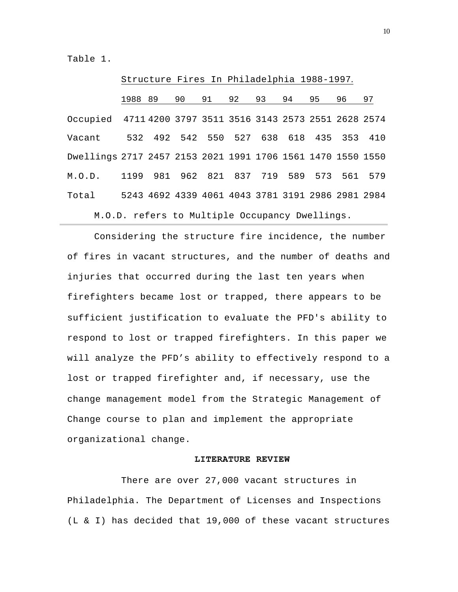Table 1.

|                                                             |         |  |                                                   |    | Structure Fires In Philadelphia 1988-1997. |    |    |    |    |    |  |
|-------------------------------------------------------------|---------|--|---------------------------------------------------|----|--------------------------------------------|----|----|----|----|----|--|
|                                                             | 1988 89 |  | 90                                                | 91 | 92                                         | 93 | 94 | 95 | 96 | 97 |  |
| Occupied 4711 4200 3797 3511 3516 3143 2573 2551 2628 2574  |         |  |                                                   |    |                                            |    |    |    |    |    |  |
| Vacant                                                      |         |  | 532 492 542 550 527 638 618 435 353 410           |    |                                            |    |    |    |    |    |  |
| Dwellings 2717 2457 2153 2021 1991 1706 1561 1470 1550 1550 |         |  |                                                   |    |                                            |    |    |    |    |    |  |
| M.O.D.                                                      |         |  | 1199 981 962 821 837 719 589 573 561 579          |    |                                            |    |    |    |    |    |  |
| Total                                                       |         |  | 5243 4692 4339 4061 4043 3781 3191 2986 2981 2984 |    |                                            |    |    |    |    |    |  |
| M.O.D. refers to Multiple Occupancy Dwellings.              |         |  |                                                   |    |                                            |    |    |    |    |    |  |

Considering the structure fire incidence, the number of fires in vacant structures, and the number of deaths and injuries that occurred during the last ten years when firefighters became lost or trapped, there appears to be sufficient justification to evaluate the PFD's ability to respond to lost or trapped firefighters. In this paper we will analyze the PFD's ability to effectively respond to a lost or trapped firefighter and, if necessary, use the change management model from the Strategic Management of Change course to plan and implement the appropriate organizational change.

## **LITERATURE REVIEW**

There are over 27,000 vacant structures in Philadelphia. The Department of Licenses and Inspections (L & I) has decided that 19,000 of these vacant structures

10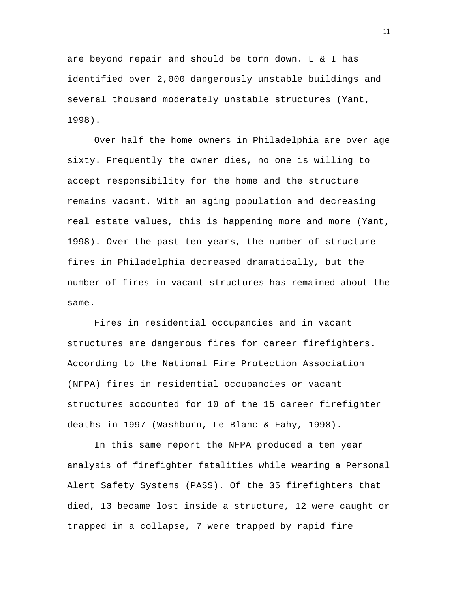are beyond repair and should be torn down. L & I has identified over 2,000 dangerously unstable buildings and several thousand moderately unstable structures (Yant, 1998).

Over half the home owners in Philadelphia are over age sixty. Frequently the owner dies, no one is willing to accept responsibility for the home and the structure remains vacant. With an aging population and decreasing real estate values, this is happening more and more (Yant, 1998). Over the past ten years, the number of structure fires in Philadelphia decreased dramatically, but the number of fires in vacant structures has remained about the same.

Fires in residential occupancies and in vacant structures are dangerous fires for career firefighters. According to the National Fire Protection Association (NFPA) fires in residential occupancies or vacant structures accounted for 10 of the 15 career firefighter deaths in 1997 (Washburn, Le Blanc & Fahy, 1998).

In this same report the NFPA produced a ten year analysis of firefighter fatalities while wearing a Personal Alert Safety Systems (PASS). Of the 35 firefighters that died, 13 became lost inside a structure, 12 were caught or trapped in a collapse, 7 were trapped by rapid fire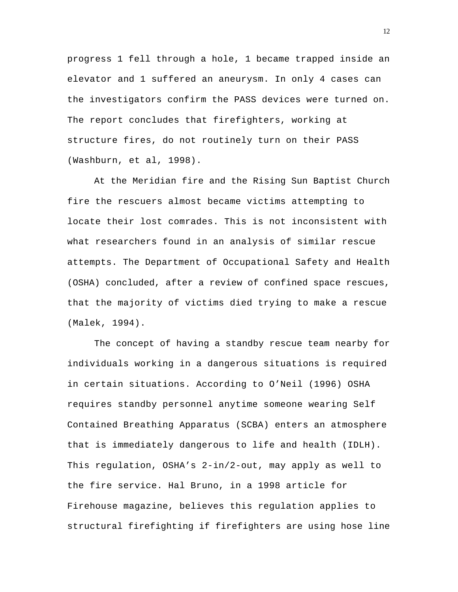progress 1 fell through a hole, 1 became trapped inside an elevator and 1 suffered an aneurysm. In only 4 cases can the investigators confirm the PASS devices were turned on. The report concludes that firefighters, working at structure fires, do not routinely turn on their PASS (Washburn, et al, 1998).

At the Meridian fire and the Rising Sun Baptist Church fire the rescuers almost became victims attempting to locate their lost comrades. This is not inconsistent with what researchers found in an analysis of similar rescue attempts. The Department of Occupational Safety and Health (OSHA) concluded, after a review of confined space rescues, that the majority of victims died trying to make a rescue (Malek, 1994).

The concept of having a standby rescue team nearby for individuals working in a dangerous situations is required in certain situations. According to O'Neil (1996) OSHA requires standby personnel anytime someone wearing Self Contained Breathing Apparatus (SCBA) enters an atmosphere that is immediately dangerous to life and health (IDLH). This regulation, OSHA's 2-in/2-out, may apply as well to the fire service. Hal Bruno, in a 1998 article for Firehouse magazine, believes this regulation applies to structural firefighting if firefighters are using hose line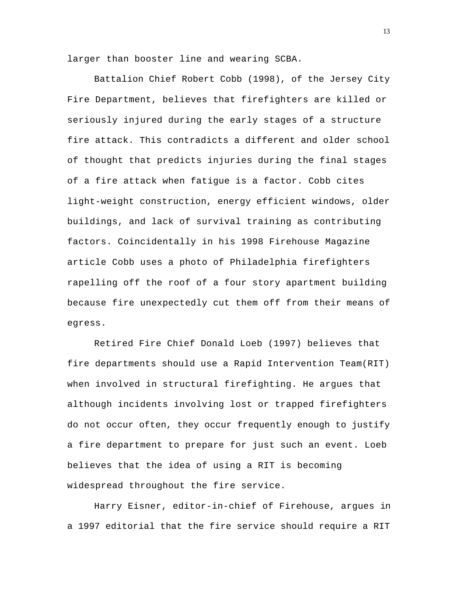larger than booster line and wearing SCBA.

Battalion Chief Robert Cobb (1998), of the Jersey City Fire Department, believes that firefighters are killed or seriously injured during the early stages of a structure fire attack. This contradicts a different and older school of thought that predicts injuries during the final stages of a fire attack when fatigue is a factor. Cobb cites light-weight construction, energy efficient windows, older buildings, and lack of survival training as contributing factors. Coincidentally in his 1998 Firehouse Magazine article Cobb uses a photo of Philadelphia firefighters rapelling off the roof of a four story apartment building because fire unexpectedly cut them off from their means of egress.

Retired Fire Chief Donald Loeb (1997) believes that fire departments should use a Rapid Intervention Team(RIT) when involved in structural firefighting. He argues that although incidents involving lost or trapped firefighters do not occur often, they occur frequently enough to justify a fire department to prepare for just such an event. Loeb believes that the idea of using a RIT is becoming widespread throughout the fire service.

Harry Eisner, editor-in-chief of Firehouse, argues in a 1997 editorial that the fire service should require a RIT

13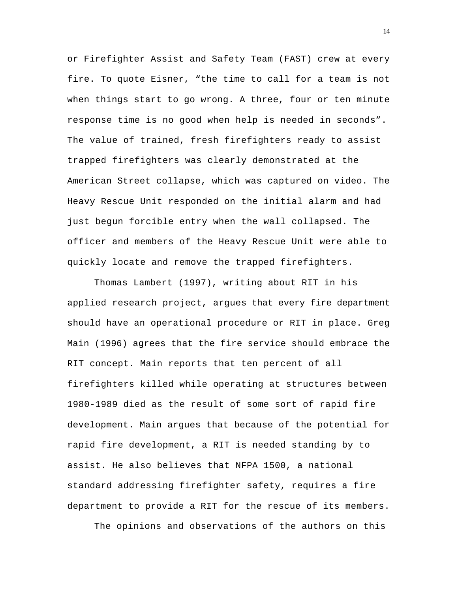or Firefighter Assist and Safety Team (FAST) crew at every fire. To quote Eisner, "the time to call for a team is not when things start to go wrong. A three, four or ten minute response time is no good when help is needed in seconds". The value of trained, fresh firefighters ready to assist trapped firefighters was clearly demonstrated at the American Street collapse, which was captured on video. The Heavy Rescue Unit responded on the initial alarm and had just begun forcible entry when the wall collapsed. The officer and members of the Heavy Rescue Unit were able to quickly locate and remove the trapped firefighters.

Thomas Lambert (1997), writing about RIT in his applied research project, argues that every fire department should have an operational procedure or RIT in place. Greg Main (1996) agrees that the fire service should embrace the RIT concept. Main reports that ten percent of all firefighters killed while operating at structures between 1980-1989 died as the result of some sort of rapid fire development. Main argues that because of the potential for rapid fire development, a RIT is needed standing by to assist. He also believes that NFPA 1500, a national standard addressing firefighter safety, requires a fire department to provide a RIT for the rescue of its members.

The opinions and observations of the authors on this

14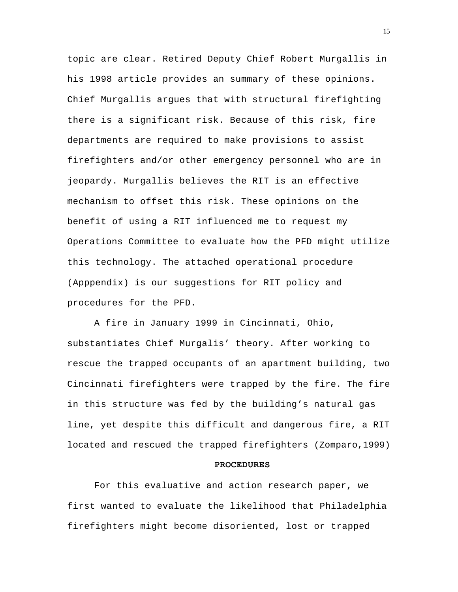topic are clear. Retired Deputy Chief Robert Murgallis in his 1998 article provides an summary of these opinions. Chief Murgallis argues that with structural firefighting there is a significant risk. Because of this risk, fire departments are required to make provisions to assist firefighters and/or other emergency personnel who are in jeopardy. Murgallis believes the RIT is an effective mechanism to offset this risk. These opinions on the benefit of using a RIT influenced me to request my Operations Committee to evaluate how the PFD might utilize this technology. The attached operational procedure (Apppendix) is our suggestions for RIT policy and procedures for the PFD.

A fire in January 1999 in Cincinnati, Ohio, substantiates Chief Murgalis' theory. After working to rescue the trapped occupants of an apartment building, two Cincinnati firefighters were trapped by the fire. The fire in this structure was fed by the building's natural gas line, yet despite this difficult and dangerous fire, a RIT located and rescued the trapped firefighters (Zomparo,1999)

# **PROCEDURES**

For this evaluative and action research paper, we first wanted to evaluate the likelihood that Philadelphia firefighters might become disoriented, lost or trapped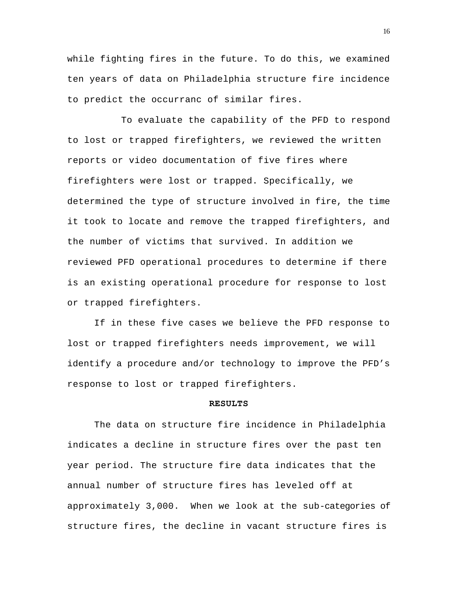while fighting fires in the future. To do this, we examined ten years of data on Philadelphia structure fire incidence to predict the occurranc of similar fires.

To evaluate the capability of the PFD to respond to lost or trapped firefighters, we reviewed the written reports or video documentation of five fires where firefighters were lost or trapped. Specifically, we determined the type of structure involved in fire, the time it took to locate and remove the trapped firefighters, and the number of victims that survived. In addition we reviewed PFD operational procedures to determine if there is an existing operational procedure for response to lost or trapped firefighters.

If in these five cases we believe the PFD response to lost or trapped firefighters needs improvement, we will identify a procedure and/or technology to improve the PFD's response to lost or trapped firefighters.

## **RESULTS**

The data on structure fire incidence in Philadelphia indicates a decline in structure fires over the past ten year period. The structure fire data indicates that the annual number of structure fires has leveled off at approximately 3,000. When we look at the sub-categories of structure fires, the decline in vacant structure fires is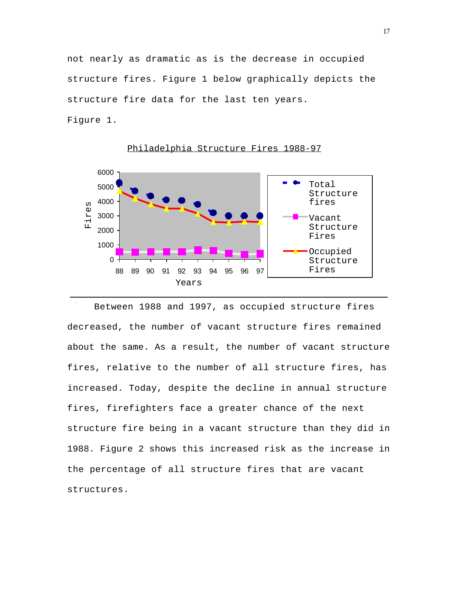not nearly as dramatic as is the decrease in occupied structure fires. Figure 1 below graphically depicts the structure fire data for the last ten years. Figure 1.



Philadelphia Structure Fires 1988-97

 $\sim$ Between 1988 and 1997, as occupied structure fires decreased, the number of vacant structure fires remained about the same. As a result, the number of vacant structure fires, relative to the number of all structure fires, has increased. Today, despite the decline in annual structure fires, firefighters face a greater chance of the next structure fire being in a vacant structure than they did in 1988. Figure 2 shows this increased risk as the increase in the percentage of all structure fires that are vacant structures.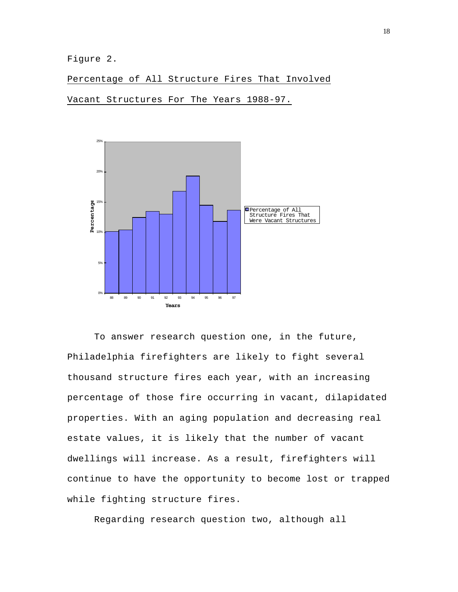Figure 2.

Percentage of All Structure Fires That Involved

Vacant Structures For The Years 1988-97.



To answer research question one, in the future, Philadelphia firefighters are likely to fight several thousand structure fires each year, with an increasing percentage of those fire occurring in vacant, dilapidated properties. With an aging population and decreasing real estate values, it is likely that the number of vacant dwellings will increase. As a result, firefighters will continue to have the opportunity to become lost or trapped while fighting structure fires.

Regarding research question two, although all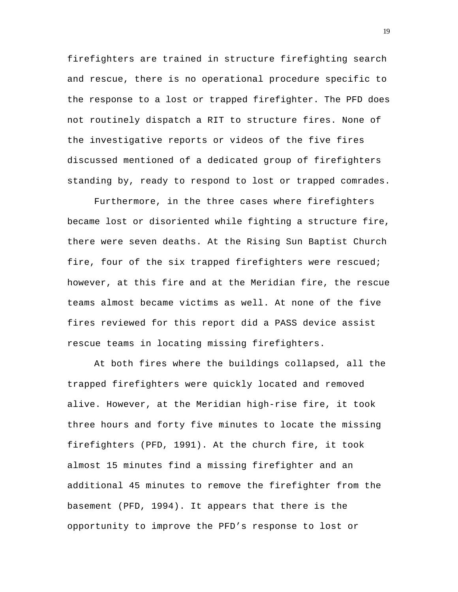firefighters are trained in structure firefighting search and rescue, there is no operational procedure specific to the response to a lost or trapped firefighter. The PFD does not routinely dispatch a RIT to structure fires. None of the investigative reports or videos of the five fires discussed mentioned of a dedicated group of firefighters standing by, ready to respond to lost or trapped comrades.

Furthermore, in the three cases where firefighters became lost or disoriented while fighting a structure fire, there were seven deaths. At the Rising Sun Baptist Church fire, four of the six trapped firefighters were rescued; however, at this fire and at the Meridian fire, the rescue teams almost became victims as well. At none of the five fires reviewed for this report did a PASS device assist rescue teams in locating missing firefighters.

At both fires where the buildings collapsed, all the trapped firefighters were quickly located and removed alive. However, at the Meridian high-rise fire, it took three hours and forty five minutes to locate the missing firefighters (PFD, 1991). At the church fire, it took almost 15 minutes find a missing firefighter and an additional 45 minutes to remove the firefighter from the basement (PFD, 1994). It appears that there is the opportunity to improve the PFD's response to lost or

19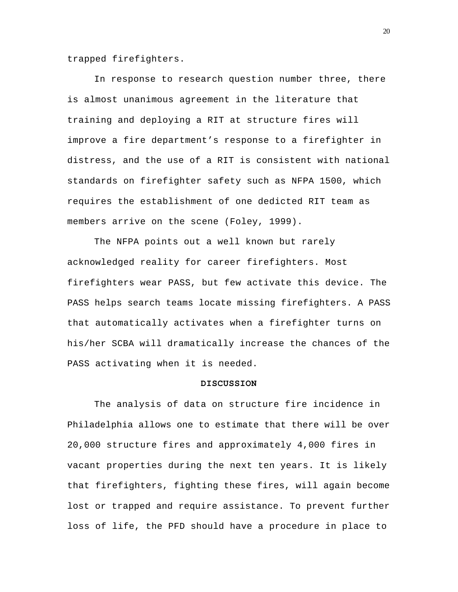trapped firefighters.

In response to research question number three, there is almost unanimous agreement in the literature that training and deploying a RIT at structure fires will improve a fire department's response to a firefighter in distress, and the use of a RIT is consistent with national standards on firefighter safety such as NFPA 1500, which requires the establishment of one dedicted RIT team as members arrive on the scene (Foley, 1999).

The NFPA points out a well known but rarely acknowledged reality for career firefighters. Most firefighters wear PASS, but few activate this device. The PASS helps search teams locate missing firefighters. A PASS that automatically activates when a firefighter turns on his/her SCBA will dramatically increase the chances of the PASS activating when it is needed.

## **DISCUSSION**

The analysis of data on structure fire incidence in Philadelphia allows one to estimate that there will be over 20,000 structure fires and approximately 4,000 fires in vacant properties during the next ten years. It is likely that firefighters, fighting these fires, will again become lost or trapped and require assistance. To prevent further loss of life, the PFD should have a procedure in place to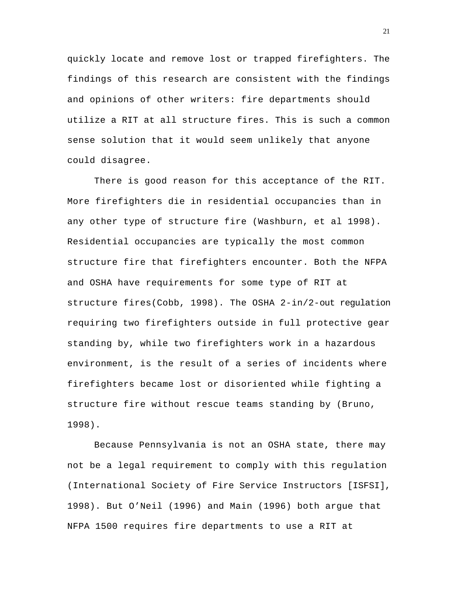quickly locate and remove lost or trapped firefighters. The findings of this research are consistent with the findings and opinions of other writers: fire departments should utilize a RIT at all structure fires. This is such a common sense solution that it would seem unlikely that anyone could disagree.

There is good reason for this acceptance of the RIT. More firefighters die in residential occupancies than in any other type of structure fire (Washburn, et al 1998). Residential occupancies are typically the most common structure fire that firefighters encounter. Both the NFPA and OSHA have requirements for some type of RIT at structure fires(Cobb, 1998). The OSHA 2-in/2-out regulation requiring two firefighters outside in full protective gear standing by, while two firefighters work in a hazardous environment, is the result of a series of incidents where firefighters became lost or disoriented while fighting a structure fire without rescue teams standing by (Bruno, 1998).

Because Pennsylvania is not an OSHA state, there may not be a legal requirement to comply with this regulation (International Society of Fire Service Instructors [ISFSI], 1998). But O'Neil (1996) and Main (1996) both argue that NFPA 1500 requires fire departments to use a RIT at

21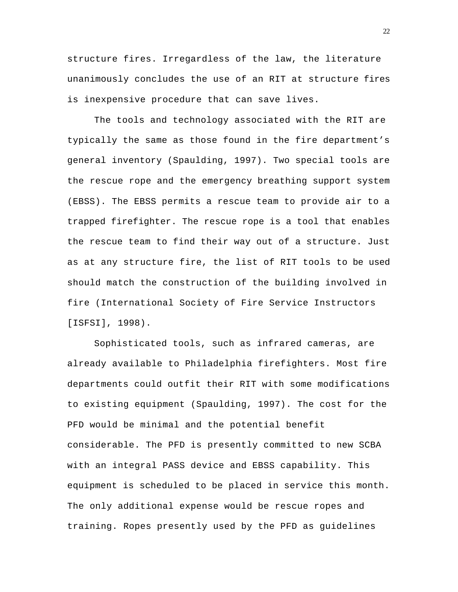structure fires. Irregardless of the law, the literature unanimously concludes the use of an RIT at structure fires is inexpensive procedure that can save lives.

The tools and technology associated with the RIT are typically the same as those found in the fire department's general inventory (Spaulding, 1997). Two special tools are the rescue rope and the emergency breathing support system (EBSS). The EBSS permits a rescue team to provide air to a trapped firefighter. The rescue rope is a tool that enables the rescue team to find their way out of a structure. Just as at any structure fire, the list of RIT tools to be used should match the construction of the building involved in fire (International Society of Fire Service Instructors [ISFSI], 1998).

Sophisticated tools, such as infrared cameras, are already available to Philadelphia firefighters. Most fire departments could outfit their RIT with some modifications to existing equipment (Spaulding, 1997). The cost for the PFD would be minimal and the potential benefit considerable. The PFD is presently committed to new SCBA with an integral PASS device and EBSS capability. This equipment is scheduled to be placed in service this month. The only additional expense would be rescue ropes and training. Ropes presently used by the PFD as guidelines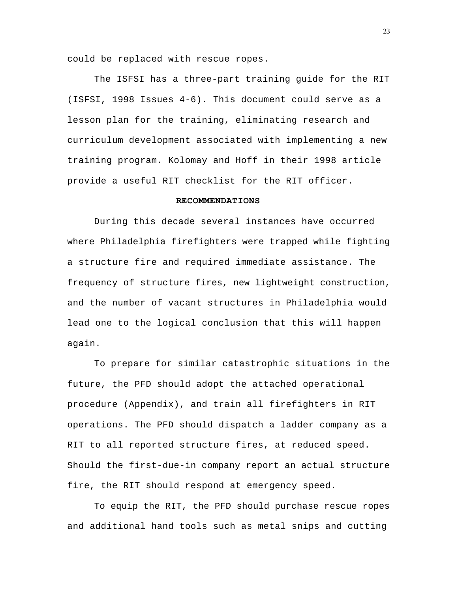could be replaced with rescue ropes.

The ISFSI has a three-part training guide for the RIT (ISFSI, 1998 Issues 4-6). This document could serve as a lesson plan for the training, eliminating research and curriculum development associated with implementing a new training program. Kolomay and Hoff in their 1998 article provide a useful RIT checklist for the RIT officer.

# **RECOMMENDATIONS**

During this decade several instances have occurred where Philadelphia firefighters were trapped while fighting a structure fire and required immediate assistance. The frequency of structure fires, new lightweight construction, and the number of vacant structures in Philadelphia would lead one to the logical conclusion that this will happen again.

To prepare for similar catastrophic situations in the future, the PFD should adopt the attached operational procedure (Appendix), and train all firefighters in RIT operations. The PFD should dispatch a ladder company as a RIT to all reported structure fires, at reduced speed. Should the first-due-in company report an actual structure fire, the RIT should respond at emergency speed.

To equip the RIT, the PFD should purchase rescue ropes and additional hand tools such as metal snips and cutting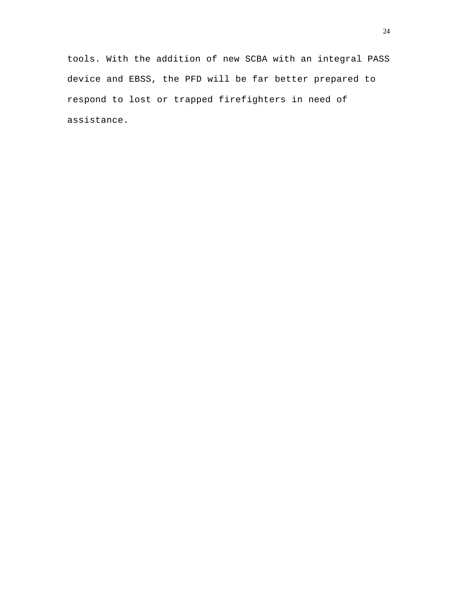tools. With the addition of new SCBA with an integral PASS device and EBSS, the PFD will be far better prepared to respond to lost or trapped firefighters in need of assistance.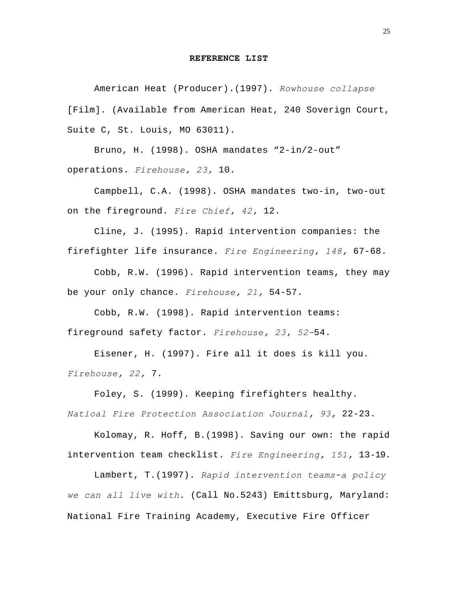### **REFERENCE LIST**

American Heat (Producer).(1997). *Rowhouse collapse* [Film]. (Available from American Heat, 240 Soverign Court, Suite C, St. Louis, MO 63011).

Bruno, H. (1998). OSHA mandates "2-in/2-out" operations. *Firehouse, 23,* 10.

Campbell, C.A. (1998). OSHA mandates two-in, two-out on the fireground. *Fire Chief, 42,* 12.

Cline, J. (1995). Rapid intervention companies: the firefighter life insurance. *Fire Engineering, 148,* 67-68.

Cobb, R.W. (1996). Rapid intervention teams, they may be your only chance. *Firehouse, 21,* 54-57.

Cobb, R.W. (1998). Rapid intervention teams: fireground safety factor. *Firehouse, 23, 52-*54.

Eisener, H. (1997). Fire all it does is kill you. *Firehouse, 22,* 7.

Foley, S. (1999). Keeping firefighters healthy. *Natioal Fire Protection Association Journal, 93,* 22-23.

Kolomay, R. Hoff, B.(1998). Saving our own: the rapid intervention team checklist. *Fire Engineering, 151,* 13-19.

Lambert, T*.*(1997). *Rapid intervention teams-a policy we can all live with.* (Call No.5243) Emittsburg, Maryland: National Fire Training Academy, Executive Fire Officer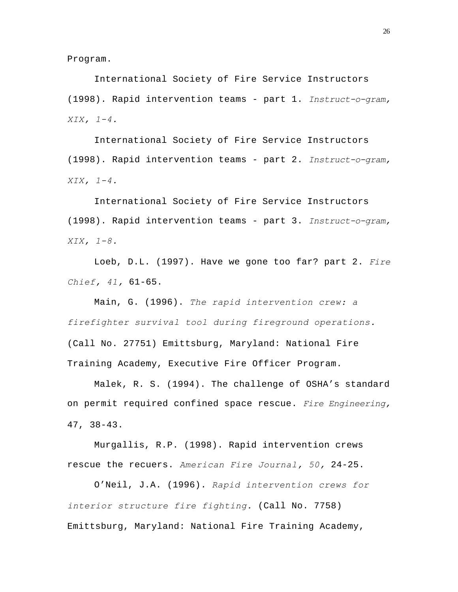Program.

International Society of Fire Service Instructors (1998). Rapid intervention teams - part 1. *Instruct-o-gram, XIX, 1-4.*

International Society of Fire Service Instructors (1998). Rapid intervention teams - part 2. *Instruct-o-gram, XIX, 1-4.*

International Society of Fire Service Instructors (1998). Rapid intervention teams - part 3. *Instruct-o-gram, XIX, 1-8.*

Loeb, D.L. (1997). Have we gone too far? part 2. *Fire Chief, 41,* 61-65.

Main, G. (1996). *The rapid intervention crew: a firefighter survival tool during fireground operations.* (Call No. 27751) Emittsburg, Maryland: National Fire Training Academy, Executive Fire Officer Program.

Malek, R. S. (1994). The challenge of OSHA's standard on permit required confined space rescue. *Fire Engineering,* 47, 38-43.

Murgallis, R.P. (1998). Rapid intervention crews rescue the recuers. *American Fire Journal, 50,* 24-25.

O'Neil, J.A. (1996). *Rapid intervention crews for interior structure fire fighting.* (Call No. 7758) Emittsburg, Maryland: National Fire Training Academy,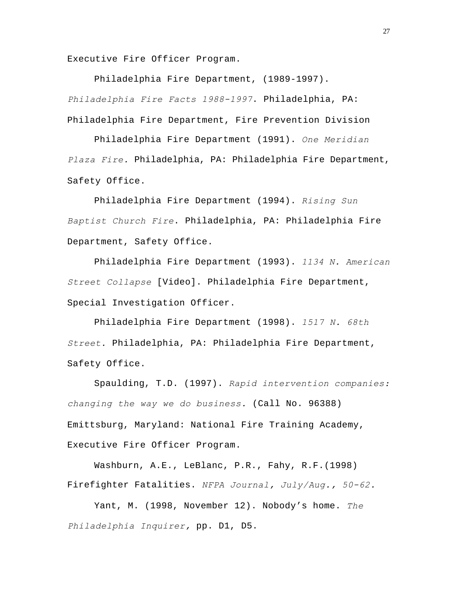Executive Fire Officer Program.

Philadelphia Fire Department, (1989-1997). *Philadelphia Fire Facts 1988-1997*. Philadelphia, PA: Philadelphia Fire Department, Fire Prevention Division

Philadelphia Fire Department (1991). *One Meridian Plaza Fire.* Philadelphia, PA: Philadelphia Fire Department, Safety Office.

Philadelphia Fire Department (1994). *Rising Sun Baptist Church Fire*. Philadelphia, PA: Philadelphia Fire Department, Safety Office.

Philadelphia Fire Department (1993). *1134 N. American Street Collapse* [Video]. Philadelphia Fire Department, Special Investigation Officer.

Philadelphia Fire Department (1998). *1517 N. 68th Street.* Philadelphia, PA: Philadelphia Fire Department, Safety Office.

Spaulding, T.D. (1997). *Rapid intervention companies: changing the way we do business.* (Call No. 96388) Emittsburg, Maryland: National Fire Training Academy, Executive Fire Officer Program.

Washburn, A.E., LeBlanc, P.R., Fahy, R.F.(1998) Firefighter Fatalities. *NFPA Journal, July/Aug., 50-62.*

Yant, M. (1998, November 12). Nobody's home. *The Philadelphia Inquirer,* pp. D1, D5.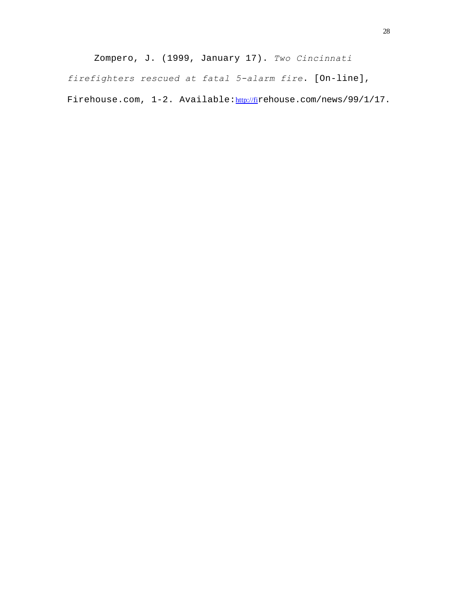Zompero, J. (1999, January 17). *Two Cincinnati firefighters rescued at fatal 5-alarm fire*. [On-line], Firehouse.com, 1-2. Available: http://firehouse.com/news/99/1/17.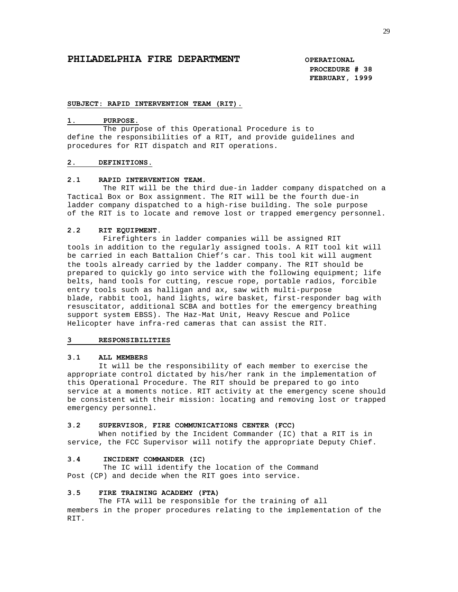# **PHILADELPHIA FIRE DEPARTMENT COPERATIONAL**

**PROCEDURE # 38 FEBRUARY, 1999**

#### **SUBJECT: RAPID INTERVENTION TEAM (RIT).**

#### **1. PURPOSE.**

 The purpose of this Operational Procedure is to define the responsibilities of a RIT, and provide guidelines and procedures for RIT dispatch and RIT operations.

#### **2. DEFINITIONS.**

#### **2.1 RAPID INTERVENTION TEAM.**

 The RIT will be the third due-in ladder company dispatched on a Tactical Box or Box assignment. The RIT will be the fourth due-in ladder company dispatched to a high-rise building. The sole purpose of the RIT is to locate and remove lost or trapped emergency personnel.

#### **2.2 RIT EQUIPMENT.**

 Firefighters in ladder companies will be assigned RIT tools in addition to the regularly assigned tools. A RIT tool kit will be carried in each Battalion Chief's car. This tool kit will augment the tools already carried by the ladder company. The RIT should be prepared to quickly go into service with the following equipment; life belts, hand tools for cutting, rescue rope, portable radios, forcible entry tools such as halligan and ax, saw with multi-purpose blade, rabbit tool, hand lights, wire basket, first-responder bag with resuscitator, additional SCBA and bottles for the emergency breathing support system EBSS). The Haz-Mat Unit, Heavy Rescue and Police Helicopter have infra-red cameras that can assist the RIT.

### **3 RESPONSIBILITIES**

#### **3.1 ALL MEMBERS**

 It will be the responsibility of each member to exercise the appropriate control dictated by his/her rank in the implementation of this Operational Procedure. The RIT should be prepared to go into service at a moments notice. RIT activity at the emergency scene should be consistent with their mission: locating and removing lost or trapped emergency personnel.

#### **3.2 SUPERVISOR, FIRE COMMUNICATIONS CENTER (FCC)**

 When notified by the Incident Commander (IC) that a RIT is in service, the FCC Supervisor will notify the appropriate Deputy Chief.

#### **3.4 INCIDENT COMMANDER (IC)**

The IC will identify the location of the Command Post (CP) and decide when the RIT goes into service.

#### **3.5 FIRE TRAINING ACADEMY (FTA)**

 The FTA will be responsible for the training of all members in the proper procedures relating to the implementation of the RIT.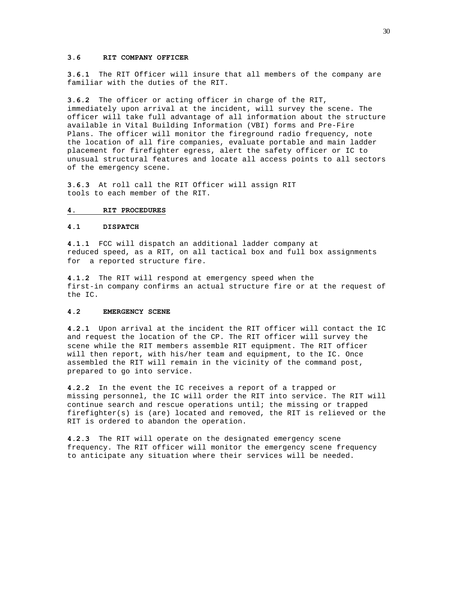#### **3.6 RIT COMPANY OFFICER**

**3.6.1** The RIT Officer will insure that all members of the company are familiar with the duties of the RIT.

**3.6.2** The officer or acting officer in charge of the RIT, immediately upon arrival at the incident, will survey the scene. The officer will take full advantage of all information about the structure available in Vital Building Information (VBI) forms and Pre-Fire Plans. The officer will monitor the fireground radio frequency, note the location of all fire companies, evaluate portable and main ladder placement for firefighter egress, alert the safety officer or IC to unusual structural features and locate all access points to all sectors of the emergency scene.

**3.6.3** At roll call the RIT Officer will assign RIT tools to each member of the RIT.

#### **4. RIT PROCEDURES**

### **4.1 DISPATCH**

**4.1.1** FCC will dispatch an additional ladder company at reduced speed, as a RIT, on all tactical box and full box assignments for a reported structure fire.

**4.1.2** The RIT will respond at emergency speed when the first-in company confirms an actual structure fire or at the request of the IC.

#### **4.2 EMERGENCY SCENE**

**4.2.1** Upon arrival at the incident the RIT officer will contact the IC and request the location of the CP. The RIT officer will survey the scene while the RIT members assemble RIT equipment. The RIT officer will then report, with his/her team and equipment, to the IC. Once assembled the RIT will remain in the vicinity of the command post, prepared to go into service.

**4.2.2** In the event the IC receives a report of a trapped or missing personnel, the IC will order the RIT into service. The RIT will continue search and rescue operations until; the missing or trapped firefighter(s) is (are) located and removed, the RIT is relieved or the RIT is ordered to abandon the operation.

**4.2.3** The RIT will operate on the designated emergency scene frequency. The RIT officer will monitor the emergency scene frequency to anticipate any situation where their services will be needed.